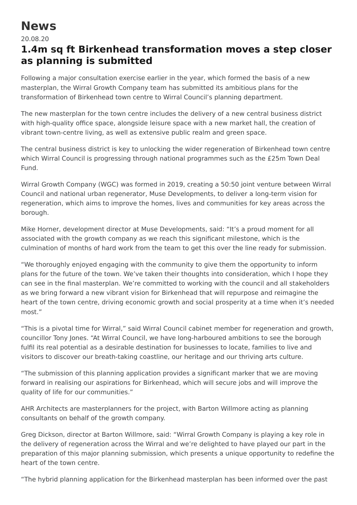## **News**

20.08.20

## **1.4m sq ft Birkenhead transformation moves a step closer as planning is submitted**

Following a major consultation exercise earlier in the year, which formed the basis of a new masterplan, the Wirral Growth Company team has submitted its ambitious plans for the transformation of Birkenhead town centre to Wirral Council's planning department.

The new masterplan for the town centre includes the delivery of a new central business district with high-quality office space, alongside leisure space with a new market hall, the creation of vibrant town-centre living, as well as extensive public realm and green space.

The central business district is key to unlocking the wider regeneration of Birkenhead town centre which Wirral Council is progressing through national programmes such as the £25m Town Deal Fund.

Wirral Growth Company (WGC) was formed in 2019, creating a 50:50 joint venture between Wirral Council and national urban regenerator, Muse Developments, to deliver a long-term vision for regeneration, which aims to improve the homes, lives and communities for key areas across the borough.

Mike Horner, development director at Muse Developments, said: "It's a proud moment for all associated with the growth company as we reach this significant milestone, which is the culmination of months of hard work from the team to get this over the line ready for submission.

"We thoroughly enjoyed engaging with the community to give them the opportunity to inform plans for the future of the town. We've taken their thoughts into consideration, which I hope they can see in the final masterplan. We're committed to working with the council and all stakeholders as we bring forward a new vibrant vision for Birkenhead that will repurpose and reimagine the heart of the town centre, driving economic growth and social prosperity at a time when it's needed most."

"This is a pivotal time for Wirral," said Wirral Council cabinet member for regeneration and growth, councillor Tony Jones. "At Wirral Council, we have long-harboured ambitions to see the borough fulfil its real potential as a desirable destination for businesses to locate, families to live and visitors to discover our breath-taking coastline, our heritage and our thriving arts culture.

"The submission of this planning application provides a significant marker that we are moving forward in realising our aspirations for Birkenhead, which will secure jobs and will improve the quality of life for our communities."

AHR Architects are masterplanners for the project, with Barton Willmore acting as planning consultants on behalf of the growth company.

Greg Dickson, director at Barton Willmore, said: "Wirral Growth Company is playing a key role in the delivery of regeneration across the Wirral and we're delighted to have played our part in the preparation of this major planning submission, which presents a unique opportunity to redefine the heart of the town centre.

"The hybrid planning application for the Birkenhead masterplan has been informed over the past